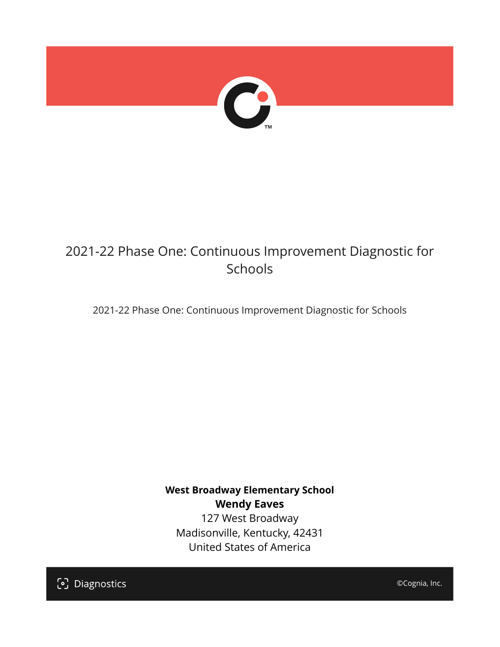

# 2021-22 Phase One: Continuous Improvement Diagnostic for Schools

2021-22 Phase One: Continuous Improvement Diagnostic for Schools

**West Broadway Elementary School Wendy Eaves** 127 West Broadway Madisonville, Kentucky, 42431 United States of America

[၁] Diagnostics

©Cognia, Inc.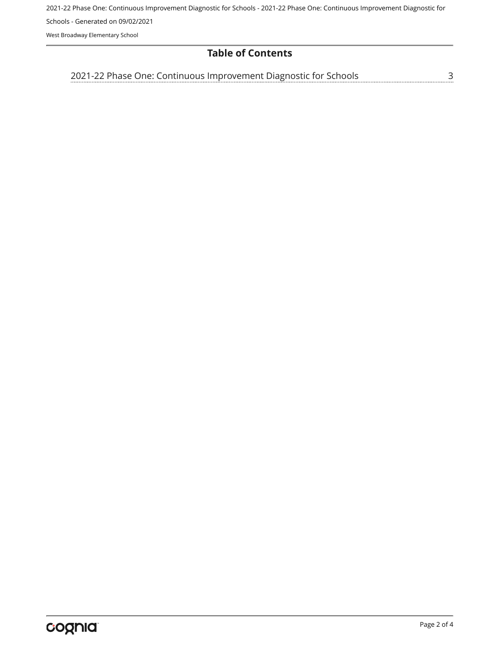2021-22 Phase One: Continuous Improvement Diagnostic for Schools - 2021-22 Phase One: Continuous Improvement Diagnostic for Schools - Generated on 09/02/2021

West Broadway Elementary School

# **Table of Contents**

<u>[3](#page-2-0)</u> [2021-22 Phase One: Continuous Improvement Diagnostic for Schools](#page-2-0)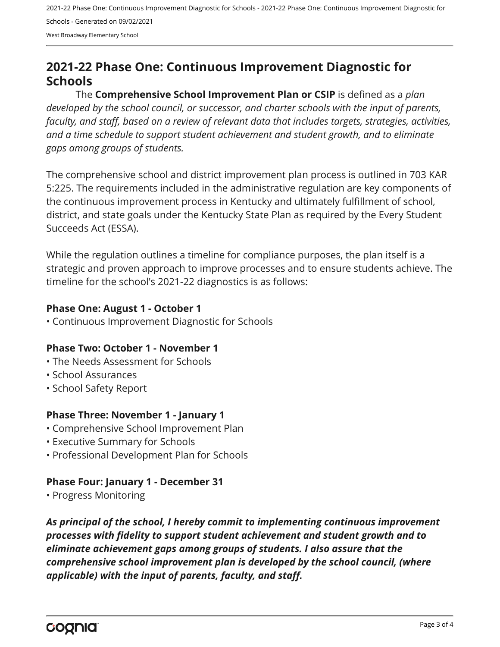2021-22 Phase One: Continuous Improvement Diagnostic for Schools - 2021-22 Phase One: Continuous Improvement Diagnostic for Schools - Generated on 09/02/2021 West Broadway Elementary School

# <span id="page-2-0"></span>**2021-22 Phase One: Continuous Improvement Diagnostic for Schools**

The **Comprehensive School Improvement Plan or CSIP** is defined as a *plan developed by the school council, or successor, and charter schools with the input of parents, faculty, and staff, based on a review of relevant data that includes targets, strategies, activities, and a time schedule to support student achievement and student growth, and to eliminate gaps among groups of students.*

The comprehensive school and district improvement plan process is outlined in 703 KAR 5:225. The requirements included in the administrative regulation are key components of the continuous improvement process in Kentucky and ultimately fulfillment of school, district, and state goals under the Kentucky State Plan as required by the Every Student Succeeds Act (ESSA).

While the regulation outlines a timeline for compliance purposes, the plan itself is a strategic and proven approach to improve processes and to ensure students achieve. The timeline for the school's 2021-22 diagnostics is as follows:

#### **Phase One: August 1 - October 1**

• Continuous Improvement Diagnostic for Schools

# **Phase Two: October 1 - November 1**

- The Needs Assessment for Schools
- School Assurances
- School Safety Report

# **Phase Three: November 1 - January 1**

- Comprehensive School Improvement Plan
- Executive Summary for Schools
- Professional Development Plan for Schools

# **Phase Four: January 1 - December 31**

• Progress Monitoring

*As principal of the school, I hereby commit to implementing continuous improvement processes with fidelity to support student achievement and student growth and to eliminate achievement gaps among groups of students. I also assure that the comprehensive school improvement plan is developed by the school council, (where applicable) with the input of parents, faculty, and staff.*